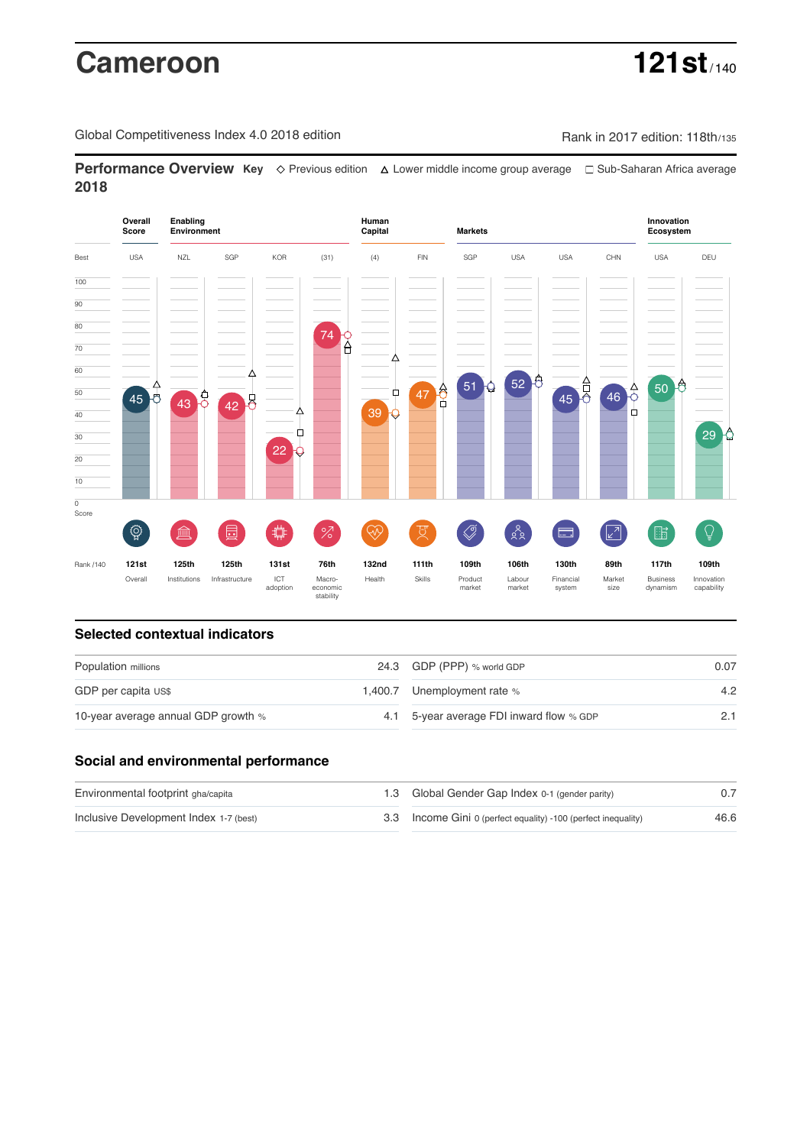# **Cameroon 121st**

Global Competitiveness Index 4.0 2018 edition Rank in 2017 edition: 118th/135

**Performance Overview Key** Previous edition Lower middle income group average Sub-Saharan Africa average **2018**



# **Selected contextual indicators**

| Population millions                 | 24.3 GDP (PPP) % world GDP               | 0.07 |  |
|-------------------------------------|------------------------------------------|------|--|
| GDP per capita US\$                 | 1,400.7 Unemployment rate %              | 4.2  |  |
| 10-year average annual GDP growth % | 4.1 5-year average FDI inward flow % GDP |      |  |

# **Social and environmental performance**

| Environmental footprint gha/capita     | 1.3 Global Gender Gap Index 0-1 (gender parity)                |      |
|----------------------------------------|----------------------------------------------------------------|------|
| Inclusive Development Index 1-7 (best) | 3.3 Income Gini 0 (perfect equality) -100 (perfect inequality) | 46.6 |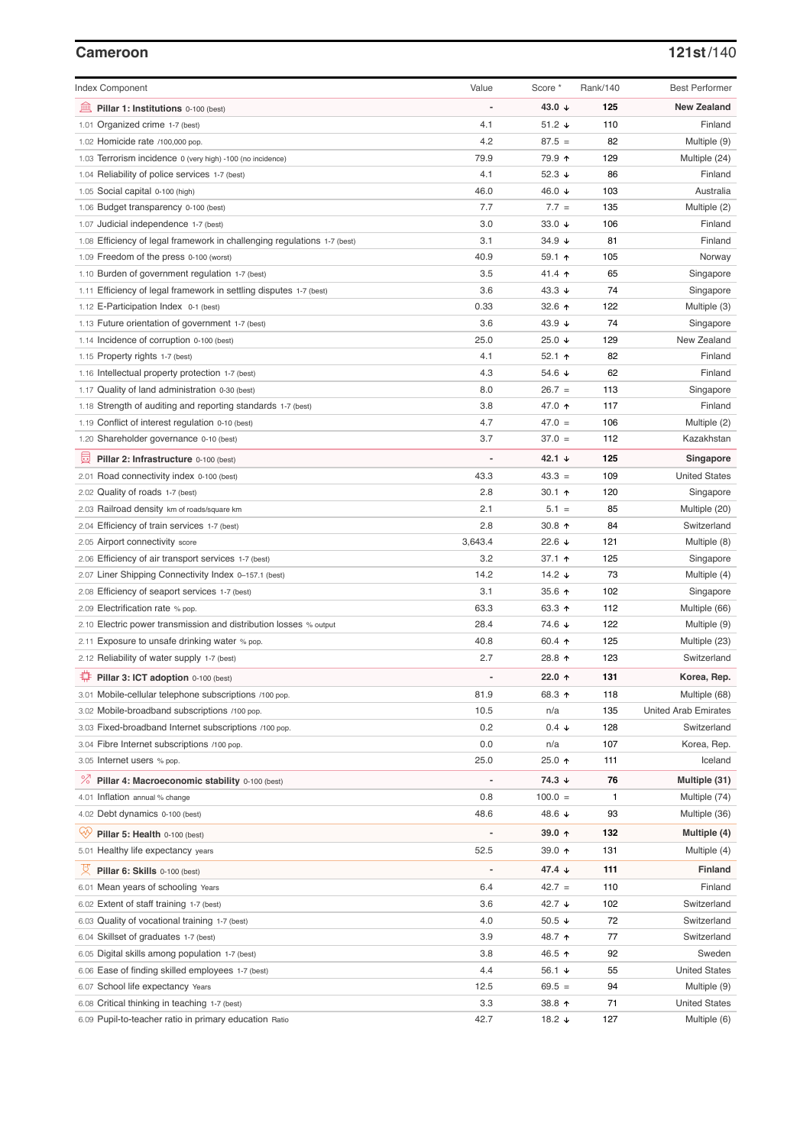# **Cameroon 121st**/140

| <b>Index Component</b>                                                   | Value          | Score *         | Rank/140 | <b>Best Performer</b>       |
|--------------------------------------------------------------------------|----------------|-----------------|----------|-----------------------------|
| Pillar 1: Institutions 0-100 (best)                                      |                | 43.0 $\sqrt{ }$ | 125      | <b>New Zealand</b>          |
| 1.01 Organized crime 1-7 (best)                                          | 4.1            | 51.2 $\sqrt{ }$ | 110      | Finland                     |
| 1.02 Homicide rate /100,000 pop.                                         | 4.2            | $87.5 =$        | 82       | Multiple (9)                |
| 1.03 Terrorism incidence 0 (very high) -100 (no incidence)               | 79.9           | 79.9 ↑          | 129      | Multiple (24)               |
| 1.04 Reliability of police services 1-7 (best)                           | 4.1            | 52.3 $\sqrt{ }$ | 86       | Finland                     |
| 1.05 Social capital 0-100 (high)                                         | 46.0           | 46.0 ↓          | 103      | Australia                   |
| 1.06 Budget transparency 0-100 (best)                                    | 7.7            | $7.7 =$         | 135      | Multiple (2)                |
| 1.07 Judicial independence 1-7 (best)                                    | 3.0            | 33.0 $\sqrt{ }$ | 106      | Finland                     |
| 1.08 Efficiency of legal framework in challenging regulations 1-7 (best) | 3.1            | $34.9 +$        | 81       | Finland                     |
| 1.09 Freedom of the press 0-100 (worst)                                  | 40.9           | $59.1$ 1        | 105      | Norway                      |
| 1.10 Burden of government regulation 1-7 (best)                          | 3.5            | 41.4 $\uparrow$ | 65       | Singapore                   |
| 1.11 Efficiency of legal framework in settling disputes 1-7 (best)       | 3.6            | 43.3 $\sqrt{ }$ | 74       | Singapore                   |
| 1.12 E-Participation Index 0-1 (best)                                    | 0.33           | 32.6 ↑          | 122      | Multiple (3)                |
| 1.13 Future orientation of government 1-7 (best)                         | 3.6            | 43.9 $\sqrt{ }$ | 74       | Singapore                   |
| 1.14 Incidence of corruption 0-100 (best)                                | 25.0           | 25.0 $\sqrt{ }$ | 129      | New Zealand                 |
| 1.15 Property rights 1-7 (best)                                          | 4.1            | 52.1 $\uparrow$ | 82       | Finland                     |
| 1.16 Intellectual property protection 1-7 (best)                         | 4.3            | 54.6 ↓          | 62       | Finland                     |
| 1.17 Quality of land administration 0-30 (best)                          | 8.0            | $26.7 =$        | 113      | Singapore                   |
| 1.18 Strength of auditing and reporting standards 1-7 (best)             | 3.8            | 47.0 ↑          | 117      | Finland                     |
| 1.19 Conflict of interest regulation 0-10 (best)                         | 4.7            | $47.0 =$        | 106      | Multiple (2)                |
| 1.20 Shareholder governance 0-10 (best)                                  | 3.7            | $37.0 =$        | 112      | Kazakhstan                  |
|                                                                          |                |                 |          |                             |
| 員<br>Pillar 2: Infrastructure 0-100 (best)                               |                | 42.1 $\sqrt{ }$ | 125      | Singapore                   |
| 2.01 Road connectivity index 0-100 (best)                                | 43.3           | $43.3 =$        | 109      | <b>United States</b>        |
| 2.02 Quality of roads 1-7 (best)                                         | 2.8            | 30.1 $\uparrow$ | 120      | Singapore                   |
| 2.03 Railroad density km of roads/square km                              | 2.1            | $5.1 =$         | 85       | Multiple (20)               |
| 2.04 Efficiency of train services 1-7 (best)                             | 2.8            | 30.8 $\uparrow$ | 84       | Switzerland                 |
| 2.05 Airport connectivity score                                          | 3,643.4        | 22.6 $\sqrt{ }$ | 121      | Multiple (8)                |
| 2.06 Efficiency of air transport services 1-7 (best)                     | 3.2            | 37.1 $\uparrow$ | 125      | Singapore                   |
| 2.07 Liner Shipping Connectivity Index 0-157.1 (best)                    | 14.2           | 14.2 $\sqrt{ }$ | 73       | Multiple (4)                |
| 2.08 Efficiency of seaport services 1-7 (best)                           | 3.1            | 35.6 个          | 102      | Singapore                   |
| 2.09 Electrification rate % pop.                                         | 63.3           | 63.3 $\uparrow$ | 112      | Multiple (66)               |
| 2.10 Electric power transmission and distribution losses % output        | 28.4           | 74.6 ↓          | 122      | Multiple (9)                |
| 2.11 Exposure to unsafe drinking water % pop.                            | 40.8           | 60.4 $\uparrow$ | 125      | Multiple (23)               |
| 2.12 Reliability of water supply 1-7 (best)                              | 2.7            | 28.8 ↑          | 123      | Switzerland                 |
| ₩<br>Pillar 3: ICT adoption 0-100 (best)                                 |                | 22.0 $\uparrow$ | 131      | Korea, Rep.                 |
| 3.01 Mobile-cellular telephone subscriptions /100 pop.                   | 81.9           | 68.3 ↑          | 118      | Multiple (68)               |
| 3.02 Mobile-broadband subscriptions /100 pop.                            | 10.5           | n/a             | 135      | <b>United Arab Emirates</b> |
| 3.03 Fixed-broadband Internet subscriptions /100 pop.                    | 0.2            | $0.4 \div$      | 128      | Switzerland                 |
| 3.04 Fibre Internet subscriptions /100 pop.                              | 0.0            | n/a             | 107      | Korea, Rep.                 |
| 3.05 Internet users % pop.                                               | 25.0           | 25.0 ↑          | 111      | Iceland                     |
| ℅<br>Pillar 4: Macroeconomic stability 0-100 (best)                      | $\overline{a}$ | 74.3 ↓          | 76       | Multiple (31)               |
| 4.01 Inflation annual % change                                           | 0.8            | $100.0 =$       | 1        | Multiple (74)               |
| 4.02 Debt dynamics 0-100 (best)                                          | 48.6           | 48.6 ↓          | 93       | Multiple (36)               |
|                                                                          |                |                 |          |                             |
| Qiy<br>Pillar 5: Health 0-100 (best)                                     |                | 39.0 $\uparrow$ | 132      | Multiple (4)                |
| 5.01 Healthy life expectancy years                                       | 52.5           | 39.0 个          | 131      | Multiple (4)                |
| 섯<br>Pillar 6: Skills 0-100 (best)                                       |                | 47.4 ↓          | 111      | <b>Finland</b>              |
| 6.01 Mean years of schooling Years                                       | 6.4            | $42.7 =$        | 110      | Finland                     |
| 6.02 Extent of staff training 1-7 (best)                                 | 3.6            | 42.7 ↓          | 102      | Switzerland                 |
| 6.03 Quality of vocational training 1-7 (best)                           | 4.0            | 50.5 $\sqrt{ }$ | 72       | Switzerland                 |
| 6.04 Skillset of graduates 1-7 (best)                                    | 3.9            | 48.7 ተ          | 77       | Switzerland                 |
| 6.05 Digital skills among population 1-7 (best)                          | 3.8            | 46.5 ↑          | 92       | Sweden                      |
| 6.06 Ease of finding skilled employees 1-7 (best)                        | 4.4            | 56.1 $\sqrt{ }$ | 55       | <b>United States</b>        |
| 6.07 School life expectancy Years                                        | 12.5           | $69.5 =$        | 94       | Multiple (9)                |
| 6.08 Critical thinking in teaching 1-7 (best)                            | 3.3            | 38.8 个          | 71       | <b>United States</b>        |
| 6.09 Pupil-to-teacher ratio in primary education Ratio                   | 42.7           | 18.2 ↓          | 127      | Multiple (6)                |